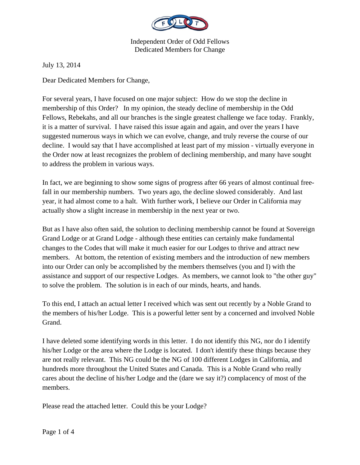

July 13, 2014

Dear Dedicated Members for Change,

For several years, I have focused on one major subject: How do we stop the decline in membership of this Order? In my opinion, the steady decline of membership in the Odd Fellows, Rebekahs, and all our branches is the single greatest challenge we face today. Frankly, it is a matter of survival. I have raised this issue again and again, and over the years I have suggested numerous ways in which we can evolve, change, and truly reverse the course of our decline. I would say that I have accomplished at least part of my mission - virtually everyone in the Order now at least recognizes the problem of declining membership, and many have sought to address the problem in various ways.

In fact, we are beginning to show some signs of progress after 66 years of almost continual freefall in our membership numbers. Two years ago, the decline slowed considerably. And last year, it had almost come to a halt. With further work, I believe our Order in California may actually show a slight increase in membership in the next year or two.

But as I have also often said, the solution to declining membership cannot be found at Sovereign Grand Lodge or at Grand Lodge - although these entities can certainly make fundamental changes to the Codes that will make it much easier for our Lodges to thrive and attract new members. At bottom, the retention of existing members and the introduction of new members into our Order can only be accomplished by the members themselves (you and I) with the assistance and support of our respective Lodges. As members, we cannot look to "the other guy" to solve the problem. The solution is in each of our minds, hearts, and hands.

To this end, I attach an actual letter I received which was sent out recently by a Noble Grand to the members of his/her Lodge. This is a powerful letter sent by a concerned and involved Noble Grand.

I have deleted some identifying words in this letter. I do not identify this NG, nor do I identify his/her Lodge or the area where the Lodge is located. I don't identify these things because they are not really relevant. This NG could be the NG of 100 different Lodges in California, and hundreds more throughout the United States and Canada. This is a Noble Grand who really cares about the decline of his/her Lodge and the (dare we say it?) complacency of most of the members.

Please read the attached letter. Could this be your Lodge?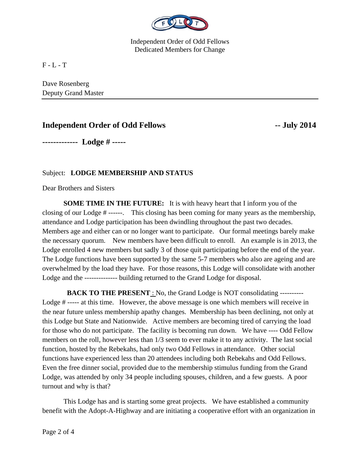

 $F - L - T$ 

Dave Rosenberg Deputy Grand Master

## **Independent Order of Odd Fellows -- July 2014**

**------------- Lodge # -----** 

## Subject: **LODGE MEMBERSHIP AND STATUS**

Dear Brothers and Sisters

**SOME TIME IN THE FUTURE:** It is with heavy heart that I inform you of the closing of our Lodge # ------. This closing has been coming for many years as the membership, attendance and Lodge participation has been dwindling throughout the past two decades. Members age and either can or no longer want to participate. Our formal meetings barely make the necessary quorum. New members have been difficult to enroll. An example is in 2013, the Lodge enrolled 4 new members but sadly 3 of those quit participating before the end of the year. The Lodge functions have been supported by the same 5-7 members who also are ageing and are overwhelmed by the load they have. For those reasons, this Lodge will consolidate with another Lodge and the -------------- building returned to the Grand Lodge for disposal.

**BACK TO THE PRESENT**: No, the Grand Lodge is NOT consolidating ----------Lodge # ----- at this time. However, the above message is one which members will receive in the near future unless membership apathy changes. Membership has been declining, not only at this Lodge but State and Nationwide. Active members are becoming tired of carrying the load for those who do not participate. The facility is becoming run down. We have ---- Odd Fellow members on the roll, however less than 1/3 seem to ever make it to any activity. The last social function, hosted by the Rebekahs, had only two Odd Fellows in attendance. Other social functions have experienced less than 20 attendees including both Rebekahs and Odd Fellows. Even the free dinner social, provided due to the membership stimulus funding from the Grand Lodge, was attended by only 34 people including spouses, children, and a few guests. A poor turnout and why is that?

 This Lodge has and is starting some great projects. We have established a community benefit with the Adopt-A-Highway and are initiating a cooperative effort with an organization in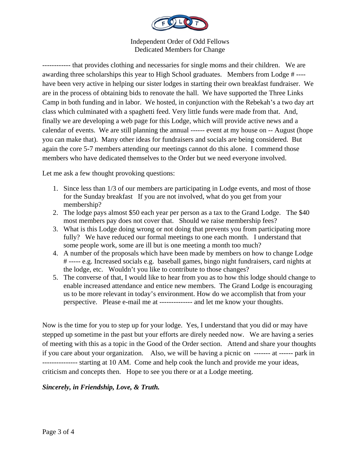

------------ that provides clothing and necessaries for single moms and their children. We are awarding three scholarships this year to High School graduates. Members from Lodge # --- have been very active in helping our sister lodges in starting their own breakfast fundraiser. We are in the process of obtaining bids to renovate the hall. We have supported the Three Links Camp in both funding and in labor. We hosted, in conjunction with the Rebekah's a two day art class which culminated with a spaghetti feed. Very little funds were made from that. And, finally we are developing a web page for this Lodge, which will provide active news and a calendar of events. We are still planning the annual ------ event at my house on -- August (hope you can make that). Many other ideas for fundraisers and socials are being considered. But again the core 5-7 members attending our meetings cannot do this alone. I commend those members who have dedicated themselves to the Order but we need everyone involved.

Let me ask a few thought provoking questions:

- 1. Since less than 1/3 of our members are participating in Lodge events, and most of those for the Sunday breakfast If you are not involved, what do you get from your membership?
- 2. The lodge pays almost \$50 each year per person as a tax to the Grand Lodge. The \$40 most members pay does not cover that. Should we raise membership fees?
- 3. What is this Lodge doing wrong or not doing that prevents you from participating more fully? We have reduced our formal meetings to one each month. I understand that some people work, some are ill but is one meeting a month too much?
- 4. A number of the proposals which have been made by members on how to change Lodge # ----- e.g. Increased socials e.g. baseball games, bingo night fundraisers, card nights at the lodge, etc. Wouldn't you like to contribute to those changes?
- 5. The converse of that, I would like to hear from you as to how this lodge should change to enable increased attendance and entice new members. The Grand Lodge is encouraging us to be more relevant in today's environment. How do we accomplish that from your perspective. Please e-mail me at -------------- and let me know your thoughts.

Now is the time for you to step up for your lodge. Yes, I understand that you did or may have stepped up sometime in the past but your efforts are direly needed now. We are having a series of meeting with this as a topic in the Good of the Order section. Attend and share your thoughts if you care about your organization. Also, we will be having a picnic on ------- at ------ park in --------------- starting at 10 AM. Come and help cook the lunch and provide me your ideas, criticism and concepts then. Hope to see you there or at a Lodge meeting.

## *Sincerely, in Friendship, Love, & Truth.*